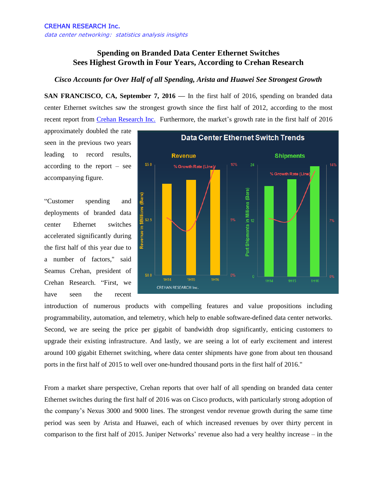## **Spending on Branded Data Center Ethernet Switches Sees Highest Growth in Four Years, According to Crehan Research**

## *Cisco Accounts for Over Half of all Spending, Arista and Huawei See Strongest Growth*

**SAN FRANCISCO, CA, September 7, 2016 —** In the first half of 2016, spending on branded data center Ethernet switches saw the strongest growth since the first half of 2012, according to the most recent report from [Crehan Research Inc.](http://www.crehanresearch.com/) Furthermore, the market's growth rate in the first half of 2016

approximately doubled the rate seen in the previous two years leading to record results, according to the report – see accompanying figure.

"Customer spending and deployments of branded data center Ethernet switches accelerated significantly during the first half of this year due to a number of factors," said Seamus Crehan, president of Crehan Research. "First, we have seen the recent



introduction of numerous products with compelling features and value propositions including programmability, automation, and telemetry, which help to enable software-defined data center networks. Second, we are seeing the price per gigabit of bandwidth drop significantly, enticing customers to upgrade their existing infrastructure. And lastly, we are seeing a lot of early excitement and interest around 100 gigabit Ethernet switching, where data center shipments have gone from about ten thousand ports in the first half of 2015 to well over one-hundred thousand ports in the first half of 2016."

From a market share perspective, Crehan reports that over half of all spending on branded data center Ethernet switches during the first half of 2016 was on Cisco products, with particularly strong adoption of the company's Nexus 3000 and 9000 lines. The strongest vendor revenue growth during the same time period was seen by Arista and Huawei, each of which increased revenues by over thirty percent in comparison to the first half of 2015. Juniper Networks' revenue also had a very healthy increase – in the